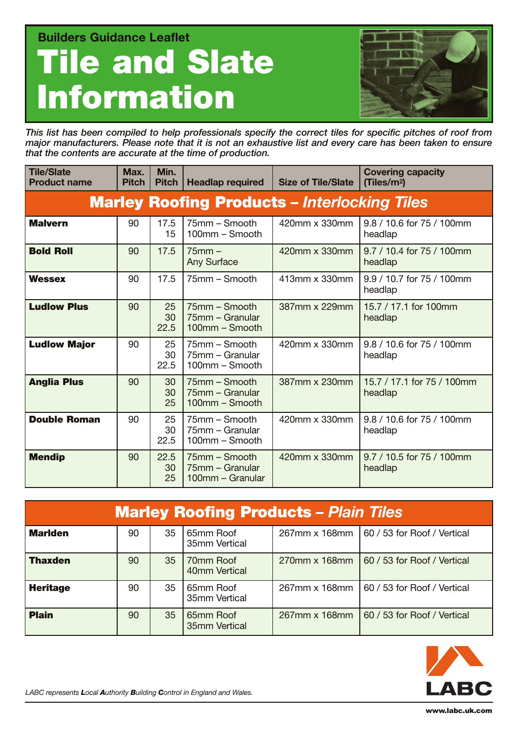**Builders Guidance Leaflet Tile and Slate Information** 



*This list has been compiled to help professionals specify the correct tiles for specific pitches of roof from major manufacturers. Please note that it is not an exhaustive list and every care has been taken to ensure that the contents are accurate at the time of production.* 

| <b>Tile/Slate</b><br><b>Product name</b> | Max.<br><b>Pitch</b> | Min.<br><b>Pitch</b> | <b>Headlap required</b>                              | <b>Size of Tile/Slate</b> | <b>Covering capacity</b><br>(Tiles/m <sup>2</sup> ) |
|------------------------------------------|----------------------|----------------------|------------------------------------------------------|---------------------------|-----------------------------------------------------|
|                                          |                      |                      | <b>Marley Roofing Products - Interlocking Tiles</b>  |                           |                                                     |
| <b>Malvern</b>                           | 90                   | 17.5<br>15           | 75mm - Smooth<br>100mm - Smooth                      | 420mm x 330mm             | 9.8 / 10.6 for 75 / 100mm<br>headlap                |
| <b>Bold Roll</b>                         | 90                   | 17.5                 | $75mm -$<br>Any Surface                              | 420mm x 330mm             | 9.7 / 10.4 for 75 / 100mm<br>headlap                |
| <b>Wessex</b>                            | 90                   | 17.5                 | 75mm - Smooth                                        | 413mm x 330mm             | 9.9 / 10.7 for 75 / 100mm<br>headlap                |
| <b>Ludlow Plus</b>                       | 90                   | 25<br>30<br>22.5     | 75mm – Smooth<br>75mm - Granular<br>100mm - Smooth   | 387mm x 229mm             | 15.7 / 17.1 for 100mm<br>headlap                    |
| <b>Ludlow Major</b>                      | 90                   | 25<br>30<br>22.5     | 75mm - Smooth<br>75mm - Granular<br>100mm - Smooth   | 420mm x 330mm             | 9.8 / 10.6 for 75 / 100mm<br>headlap                |
| <b>Anglia Plus</b>                       | 90                   | 30<br>30<br>25       | 75mm - Smooth<br>75mm - Granular<br>100mm - Smooth   | 387mm x 230mm             | 15.7 / 17.1 for 75 / 100mm<br>headlap               |
| <b>Double Roman</b>                      | 90                   | 25<br>30<br>22.5     | 75mm – Smooth<br>75mm - Granular<br>100mm - Smooth   | 420mm x 330mm             | 9.8 / 10.6 for 75 / 100mm<br>headlap                |
| <b>Mendip</b>                            | 90                   | 22.5<br>30<br>25     | 75mm - Smooth<br>75mm - Granular<br>100mm - Granular | 420mm x 330mm             | 9.7 / 10.5 for 75 / 100mm<br>headlap                |

| <b>Marley Roofing Products - Plain Tiles</b> |    |                 |                            |               |                             |
|----------------------------------------------|----|-----------------|----------------------------|---------------|-----------------------------|
| <b>Marlden</b>                               | 90 | 35              | 65mm Roof<br>35mm Vertical | 267mm x 168mm | 60 / 53 for Roof / Vertical |
| <b>Thaxden</b>                               | 90 | 35 <sub>2</sub> | 70mm Roof<br>40mm Vertical | 270mm x 168mm | 60 / 53 for Roof / Vertical |
| <b>Heritage</b>                              | 90 | 35              | 65mm Roof<br>35mm Vertical | 267mm x 168mm | 60 / 53 for Roof / Vertical |
| <b>Plain</b>                                 | 90 | 35              | 65mm Roof<br>35mm Vertical | 267mm x 168mm | 60 / 53 for Roof / Vertical |

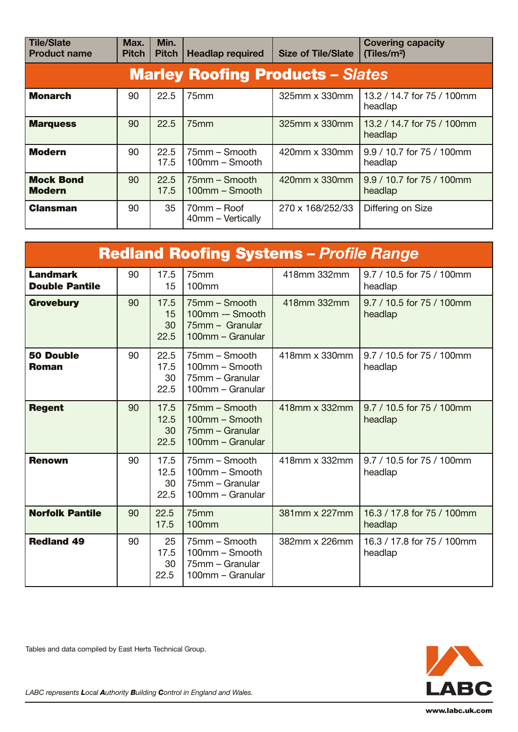| <b>Tile/Slate</b><br><b>Product name</b> | Max.<br><b>Pitch</b> | Min.<br><b>Pitch</b> | <b>Headlap required</b>            | <b>Size of Tile/Slate</b> | <b>Covering capacity</b><br>(Tiles/m <sup>2</sup> ) |  |  |
|------------------------------------------|----------------------|----------------------|------------------------------------|---------------------------|-----------------------------------------------------|--|--|
| <b>Marley Roofing Products - Slates</b>  |                      |                      |                                    |                           |                                                     |  |  |
| <b>Monarch</b>                           | 90                   | 22.5                 | 75mm                               | 325mm x 330mm             | 13.2 / 14.7 for 75 / 100mm<br>headlap               |  |  |
| <b>Marquess</b>                          | 90                   | 22.5                 | 75mm                               | 325mm x 330mm             | 13.2 / 14.7 for 75 / 100mm<br>headlap               |  |  |
| <b>Modern</b>                            | 90                   | 22.5<br>17.5         | 75mm – Smooth<br>100mm - Smooth    | 420mm x 330mm             | 9.9 / 10.7 for 75 / 100mm<br>headlap                |  |  |
| <b>Mock Bond</b><br>Modern               | 90                   | 22.5<br>17.5         | 75mm - Smooth<br>$100$ mm – Smooth | 420mm x 330mm             | 9.9 / 10.7 for 75 / 100mm<br>headlap                |  |  |
| <b>Clansman</b>                          | 90                   | 35                   | 70mm - Roof<br>40mm - Vertically   | 270 x 168/252/33          | Differing on Size                                   |  |  |

| <b>Redland Roofing Systems - Profile Range</b> |    |                            |                                                                         |               |                                       |  |
|------------------------------------------------|----|----------------------------|-------------------------------------------------------------------------|---------------|---------------------------------------|--|
| <b>Landmark</b><br><b>Double Pantile</b>       | 90 | 17.5<br>15                 | 75mm<br>100 <sub>mm</sub>                                               | 418mm 332mm   | 9.7 / 10.5 for 75 / 100mm<br>headlap  |  |
| <b>Grovebury</b>                               | 90 | 17.5<br>15<br>30<br>22.5   | 75mm - Smooth<br>100mm -- Smooth<br>75mm - Granular<br>100mm - Granular | 418mm 332mm   | 9.7 / 10.5 for 75 / 100mm<br>headlap  |  |
| <b>50 Double</b><br>Roman                      | 90 | 22.5<br>17.5<br>30<br>22.5 | 75mm – Smooth<br>100mm - Smooth<br>75mm - Granular<br>100mm - Granular  | 418mm x 330mm | 9.7 / 10.5 for 75 / 100mm<br>headlap  |  |
| <b>Regent</b>                                  | 90 | 17.5<br>12.5<br>30<br>22.5 | 75mm - Smooth<br>100mm - Smooth<br>75mm - Granular<br>100mm - Granular  | 418mm x 332mm | 9.7 / 10.5 for 75 / 100mm<br>headlap  |  |
| <b>Renown</b>                                  | 90 | 17.5<br>12.5<br>30<br>22.5 | 75mm - Smooth<br>100mm - Smooth<br>75mm - Granular<br>100mm - Granular  | 418mm x 332mm | 9.7 / 10.5 for 75 / 100mm<br>headlap  |  |
| <b>Norfolk Pantile</b>                         | 90 | 22.5<br>17.5               | 75 <sub>mm</sub><br><b>100mm</b>                                        | 381mm x 227mm | 16.3 / 17.8 for 75 / 100mm<br>headlap |  |
| <b>Redland 49</b>                              | 90 | 25<br>17.5<br>30<br>22.5   | 75mm - Smooth<br>100mm - Smooth<br>75mm - Granular<br>100mm - Granular  | 382mm x 226mm | 16.3 / 17.8 for 75 / 100mm<br>headlap |  |

LABC

Tables and data compiled by East Herts Technical Group.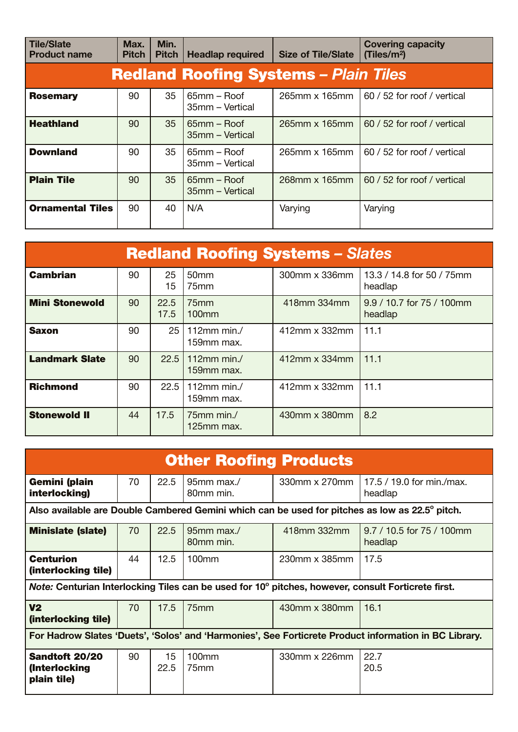| <b>Tile/Slate</b><br><b>Product name</b>     | Max.<br><b>Pitch</b> | Min.<br><b>Pitch</b> | <b>Headlap required</b>        | <b>Size of Tile/Slate</b> | <b>Covering capacity</b><br>(Tiles/m <sup>2</sup> ) |  |  |
|----------------------------------------------|----------------------|----------------------|--------------------------------|---------------------------|-----------------------------------------------------|--|--|
| <b>Redland Roofing Systems - Plain Tiles</b> |                      |                      |                                |                           |                                                     |  |  |
| <b>Rosemary</b>                              | 90                   | 35                   | 65mm – Roof<br>35mm - Vertical | 265mm x 165mm             | 60 / 52 for roof / vertical                         |  |  |
| <b>Heathland</b>                             | 90                   | 35                   | 65mm – Roof<br>35mm – Vertical | 265mm x 165mm             | 60 / 52 for roof / vertical                         |  |  |
| <b>Downland</b>                              | 90                   | 35                   | 65mm - Roof<br>35mm - Vertical | 265mm x 165mm             | 60 / 52 for roof / vertical                         |  |  |
| <b>Plain Tile</b>                            | 90                   | 35                   | 65mm - Roof<br>35mm - Vertical | 268mm x 165mm             | 60 / 52 for roof / vertical                         |  |  |
| <b>Ornamental Tiles</b>                      | 90                   | 40                   | N/A                            | Varying                   | Varying                                             |  |  |

| <b>Redland Roofing Systems - Slates</b> |    |              |                              |               |                                      |  |
|-----------------------------------------|----|--------------|------------------------------|---------------|--------------------------------------|--|
| <b>Cambrian</b>                         | 90 | 25<br>15     | 50 <sub>mm</sub><br>75mm     | 300mm x 336mm | 13.3 / 14.8 for 50 / 75mm<br>headlap |  |
| <b>Mini Stonewold</b>                   | 90 | 22.5<br>17.5 | 75 <sub>mm</sub><br>$100$ mm | 418mm 334mm   | 9.9 / 10.7 for 75 / 100mm<br>headlap |  |
| Saxon                                   | 90 | 25 l         | 112 $mm$ min./<br>159mm max. | 412mm x 332mm | 11.1                                 |  |
| <b>Landmark Slate</b>                   | 90 | 22.51        | 112mm min./<br>159mm max.    | 412mm x 334mm | 11.1                                 |  |
| <b>Richmond</b>                         | 90 | 22.5         | 112mm min. $/$<br>159mm max. | 412mm x 332mm | 11.1                                 |  |
| <b>Stonewold II</b>                     | 44 | 17.5         | 75mm min./<br>125mm max.     | 430mm x 380mm | 8.2                                  |  |

| <b>Other Roofing Products</b>                                                                         |    |            |                              |               |                                                                                                |  |
|-------------------------------------------------------------------------------------------------------|----|------------|------------------------------|---------------|------------------------------------------------------------------------------------------------|--|
| Gemini (plain<br>interlocking)                                                                        | 70 | 22.5       | 95mm max./<br>80mm min.      | 330mm x 270mm | 17.5 / 19.0 for min./max.<br>headlap                                                           |  |
|                                                                                                       |    |            |                              |               | Also available are Double Cambered Gemini which can be used for pitches as low as 22.5° pitch. |  |
| <b>Minislate (slate)</b>                                                                              | 70 | 22.5       | 95mm max./<br>80mm min.      | 418mm 332mm   | 9.7 / 10.5 for 75 / 100mm<br>headlap                                                           |  |
| <b>Centurion</b><br>(interlocking tile)                                                               | 44 | 12.5       | $100$ mm                     | 230mm x 385mm | 17.5                                                                                           |  |
| Note: Centurian Interlocking Tiles can be used for 10° pitches, however, consult Forticrete first.    |    |            |                              |               |                                                                                                |  |
| V <sub>2</sub><br>(interlocking tile)                                                                 | 70 | 17.5       | 75 <sub>mm</sub>             | 430mm x 380mm | 16.1                                                                                           |  |
| For Hadrow Slates 'Duets', 'Solos' and 'Harmonies', See Forticrete Product information in BC Library. |    |            |                              |               |                                                                                                |  |
| Sandtoft 20/20<br>(Interlocking<br>plain tile)                                                        | 90 | 15<br>22.5 | $100$ mm<br>75 <sub>mm</sub> | 330mm x 226mm | 22.7<br>20.5                                                                                   |  |